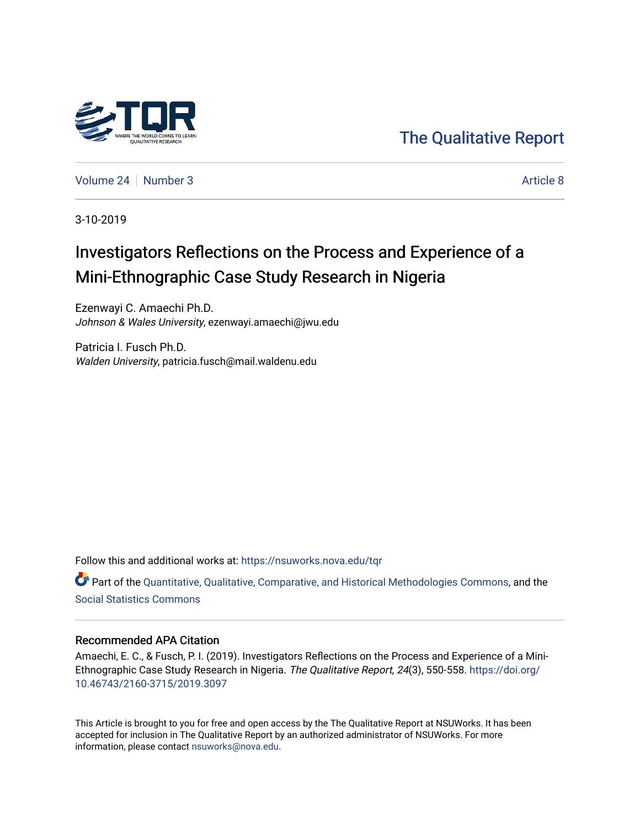

[The Qualitative Report](https://nsuworks.nova.edu/tqr) 

[Volume 24](https://nsuworks.nova.edu/tqr/vol24) | [Number 3](https://nsuworks.nova.edu/tqr/vol24/iss3) Article 8

3-10-2019

# Investigators Reflections on the Process and Experience of a Mini-Ethnographic Case Study Research in Nigeria

Ezenwayi C. Amaechi Ph.D. Johnson & Wales University, ezenwayi.amaechi@jwu.edu

Patricia I. Fusch Ph.D. Walden University, patricia.fusch@mail.waldenu.edu

Follow this and additional works at: [https://nsuworks.nova.edu/tqr](https://nsuworks.nova.edu/tqr?utm_source=nsuworks.nova.edu%2Ftqr%2Fvol24%2Fiss3%2F8&utm_medium=PDF&utm_campaign=PDFCoverPages) 

Part of the [Quantitative, Qualitative, Comparative, and Historical Methodologies Commons,](http://network.bepress.com/hgg/discipline/423?utm_source=nsuworks.nova.edu%2Ftqr%2Fvol24%2Fiss3%2F8&utm_medium=PDF&utm_campaign=PDFCoverPages) and the [Social Statistics Commons](http://network.bepress.com/hgg/discipline/1275?utm_source=nsuworks.nova.edu%2Ftqr%2Fvol24%2Fiss3%2F8&utm_medium=PDF&utm_campaign=PDFCoverPages) 

# Recommended APA Citation

Amaechi, E. C., & Fusch, P. I. (2019). Investigators Reflections on the Process and Experience of a Mini-Ethnographic Case Study Research in Nigeria. The Qualitative Report, 24(3), 550-558. [https://doi.org/](https://doi.org/10.46743/2160-3715/2019.3097) [10.46743/2160-3715/2019.3097](https://doi.org/10.46743/2160-3715/2019.3097)

This Article is brought to you for free and open access by the The Qualitative Report at NSUWorks. It has been accepted for inclusion in The Qualitative Report by an authorized administrator of NSUWorks. For more information, please contact [nsuworks@nova.edu.](mailto:nsuworks@nova.edu)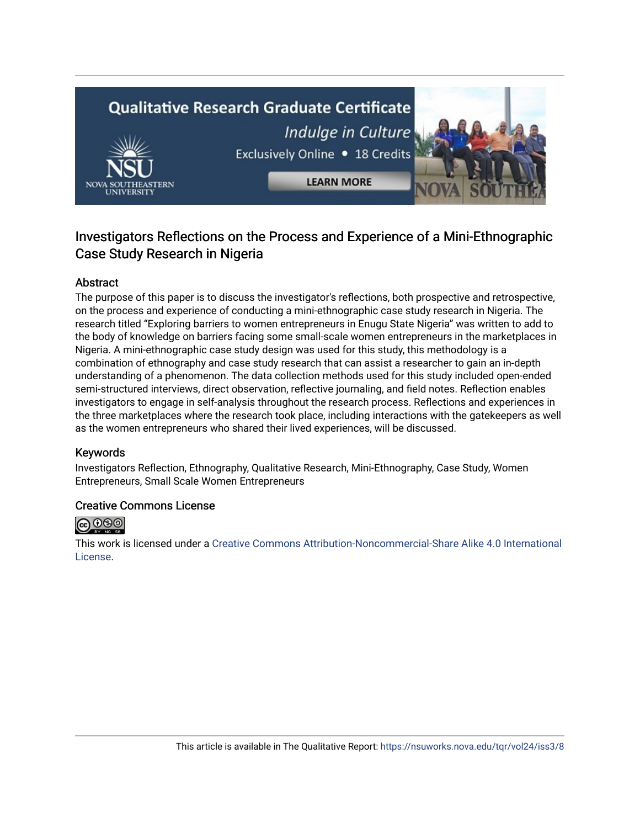# **Qualitative Research Graduate Certificate** Indulge in Culture Exclusively Online . 18 Credits **LEARN MORE**



# Abstract

The purpose of this paper is to discuss the investigator's reflections, both prospective and retrospective, on the process and experience of conducting a mini-ethnographic case study research in Nigeria. The research titled "Exploring barriers to women entrepreneurs in Enugu State Nigeria" was written to add to the body of knowledge on barriers facing some small-scale women entrepreneurs in the marketplaces in Nigeria. A mini-ethnographic case study design was used for this study, this methodology is a combination of ethnography and case study research that can assist a researcher to gain an in-depth understanding of a phenomenon. The data collection methods used for this study included open-ended semi-structured interviews, direct observation, reflective journaling, and field notes. Reflection enables investigators to engage in self-analysis throughout the research process. Reflections and experiences in the three marketplaces where the research took place, including interactions with the gatekeepers as well as the women entrepreneurs who shared their lived experiences, will be discussed.

## Keywords

Investigators Reflection, Ethnography, Qualitative Research, Mini-Ethnography, Case Study, Women Entrepreneurs, Small Scale Women Entrepreneurs

## Creative Commons License



This work is licensed under a [Creative Commons Attribution-Noncommercial-Share Alike 4.0 International](https://creativecommons.org/licenses/by-nc-sa/4.0/)  [License](https://creativecommons.org/licenses/by-nc-sa/4.0/).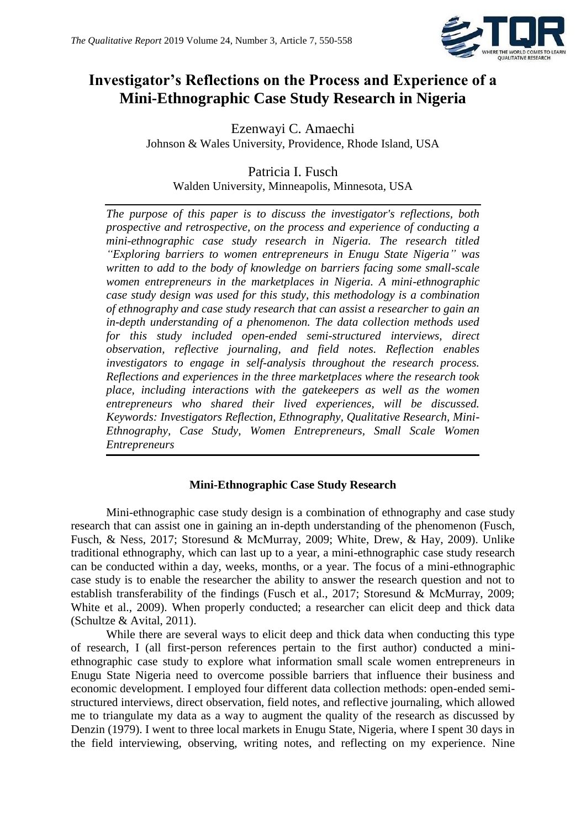

# **Investigator's Reflections on the Process and Experience of a Mini-Ethnographic Case Study Research in Nigeria**

Ezenwayi C. Amaechi Johnson & Wales University, Providence, Rhode Island, USA

Patricia I. Fusch Walden University, Minneapolis, Minnesota, USA

*The purpose of this paper is to discuss the investigator's reflections, both prospective and retrospective, on the process and experience of conducting a mini-ethnographic case study research in Nigeria. The research titled "Exploring barriers to women entrepreneurs in Enugu State Nigeria" was written to add to the body of knowledge on barriers facing some small-scale women entrepreneurs in the marketplaces in Nigeria. A mini-ethnographic case study design was used for this study, this methodology is a combination of ethnography and case study research that can assist a researcher to gain an in-depth understanding of a phenomenon. The data collection methods used for this study included open-ended semi-structured interviews, direct observation, reflective journaling, and field notes. Reflection enables investigators to engage in self-analysis throughout the research process. Reflections and experiences in the three marketplaces where the research took place, including interactions with the gatekeepers as well as the women entrepreneurs who shared their lived experiences, will be discussed. Keywords: Investigators Reflection, Ethnography, Qualitative Research, Mini-Ethnography, Case Study, Women Entrepreneurs, Small Scale Women Entrepreneurs*

# **Mini-Ethnographic Case Study Research**

Mini-ethnographic case study design is a combination of ethnography and case study research that can assist one in gaining an in-depth understanding of the phenomenon (Fusch, Fusch, & Ness, 2017; Storesund & McMurray, 2009; White, Drew, & Hay, 2009). Unlike traditional ethnography, which can last up to a year, a mini-ethnographic case study research can be conducted within a day, weeks, months, or a year. The focus of a mini-ethnographic case study is to enable the researcher the ability to answer the research question and not to establish transferability of the findings (Fusch et al., 2017; Storesund & McMurray, 2009; White et al., 2009). When properly conducted; a researcher can elicit deep and thick data (Schultze & Avital, 2011).

While there are several ways to elicit deep and thick data when conducting this type of research, I (all first-person references pertain to the first author) conducted a miniethnographic case study to explore what information small scale women entrepreneurs in Enugu State Nigeria need to overcome possible barriers that influence their business and economic development. I employed four different data collection methods: open-ended semistructured interviews, direct observation, field notes, and reflective journaling, which allowed me to triangulate my data as a way to augment the quality of the research as discussed by Denzin (1979). I went to three local markets in Enugu State, Nigeria, where I spent 30 days in the field interviewing, observing, writing notes, and reflecting on my experience. Nine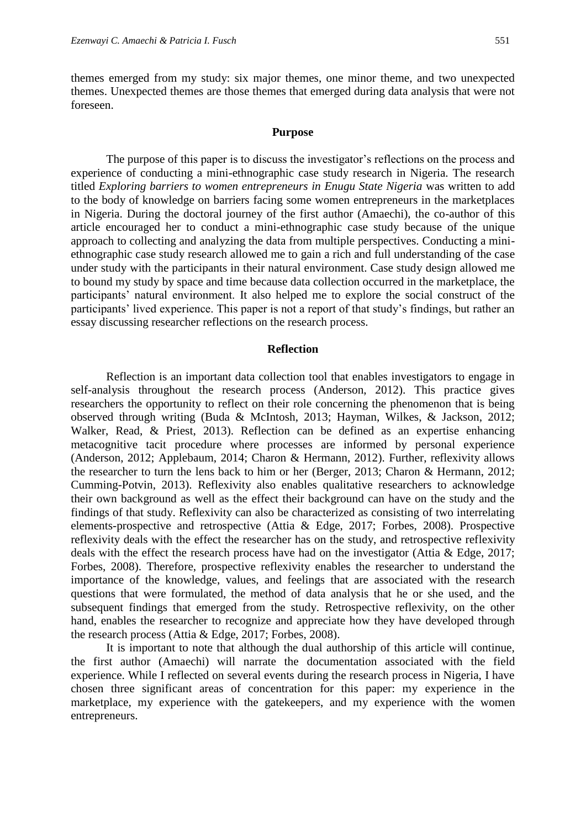themes emerged from my study: six major themes, one minor theme, and two unexpected themes. Unexpected themes are those themes that emerged during data analysis that were not foreseen.

#### **Purpose**

The purpose of this paper is to discuss the investigator's reflections on the process and experience of conducting a mini-ethnographic case study research in Nigeria. The research titled *Exploring barriers to women entrepreneurs in Enugu State Nigeria* was written to add to the body of knowledge on barriers facing some women entrepreneurs in the marketplaces in Nigeria. During the doctoral journey of the first author (Amaechi), the co-author of this article encouraged her to conduct a mini-ethnographic case study because of the unique approach to collecting and analyzing the data from multiple perspectives. Conducting a miniethnographic case study research allowed me to gain a rich and full understanding of the case under study with the participants in their natural environment. Case study design allowed me to bound my study by space and time because data collection occurred in the marketplace, the participants' natural environment. It also helped me to explore the social construct of the participants' lived experience. This paper is not a report of that study's findings, but rather an essay discussing researcher reflections on the research process.

# **Reflection**

Reflection is an important data collection tool that enables investigators to engage in self-analysis throughout the research process (Anderson, 2012). This practice gives researchers the opportunity to reflect on their role concerning the phenomenon that is being observed through writing (Buda & McIntosh, 2013; Hayman, Wilkes, & Jackson, 2012; Walker, Read, & Priest, 2013). Reflection can be defined as an expertise enhancing metacognitive tacit procedure where processes are informed by personal experience (Anderson, 2012; Applebaum, 2014; Charon & Hermann, 2012). Further, reflexivity allows the researcher to turn the lens back to him or her (Berger, 2013; Charon & Hermann, 2012; Cumming-Potvin, 2013). Reflexivity also enables qualitative researchers to acknowledge their own background as well as the effect their background can have on the study and the findings of that study. Reflexivity can also be characterized as consisting of two interrelating elements-prospective and retrospective (Attia & Edge, 2017; Forbes, 2008). Prospective reflexivity deals with the effect the researcher has on the study, and retrospective reflexivity deals with the effect the research process have had on the investigator (Attia & Edge, 2017; Forbes, 2008). Therefore, prospective reflexivity enables the researcher to understand the importance of the knowledge, values, and feelings that are associated with the research questions that were formulated, the method of data analysis that he or she used, and the subsequent findings that emerged from the study. Retrospective reflexivity, on the other hand, enables the researcher to recognize and appreciate how they have developed through the research process (Attia & Edge, 2017; Forbes, 2008).

It is important to note that although the dual authorship of this article will continue, the first author (Amaechi) will narrate the documentation associated with the field experience. While I reflected on several events during the research process in Nigeria, I have chosen three significant areas of concentration for this paper: my experience in the marketplace, my experience with the gatekeepers, and my experience with the women entrepreneurs.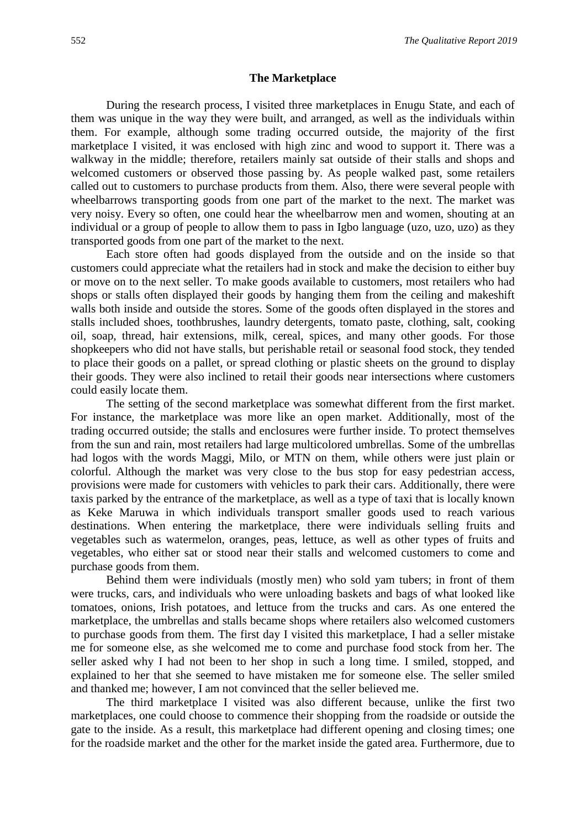#### **The Marketplace**

During the research process, I visited three marketplaces in Enugu State, and each of them was unique in the way they were built, and arranged, as well as the individuals within them. For example, although some trading occurred outside, the majority of the first marketplace I visited, it was enclosed with high zinc and wood to support it. There was a walkway in the middle; therefore, retailers mainly sat outside of their stalls and shops and welcomed customers or observed those passing by. As people walked past, some retailers called out to customers to purchase products from them. Also, there were several people with wheelbarrows transporting goods from one part of the market to the next. The market was very noisy. Every so often, one could hear the wheelbarrow men and women, shouting at an individual or a group of people to allow them to pass in Igbo language (uzo, uzo, uzo) as they transported goods from one part of the market to the next.

Each store often had goods displayed from the outside and on the inside so that customers could appreciate what the retailers had in stock and make the decision to either buy or move on to the next seller. To make goods available to customers, most retailers who had shops or stalls often displayed their goods by hanging them from the ceiling and makeshift walls both inside and outside the stores. Some of the goods often displayed in the stores and stalls included shoes, toothbrushes, laundry detergents, tomato paste, clothing, salt, cooking oil, soap, thread, hair extensions, milk, cereal, spices, and many other goods. For those shopkeepers who did not have stalls, but perishable retail or seasonal food stock, they tended to place their goods on a pallet, or spread clothing or plastic sheets on the ground to display their goods. They were also inclined to retail their goods near intersections where customers could easily locate them.

The setting of the second marketplace was somewhat different from the first market. For instance, the marketplace was more like an open market. Additionally, most of the trading occurred outside; the stalls and enclosures were further inside. To protect themselves from the sun and rain, most retailers had large multicolored umbrellas. Some of the umbrellas had logos with the words Maggi, Milo, or MTN on them, while others were just plain or colorful. Although the market was very close to the bus stop for easy pedestrian access, provisions were made for customers with vehicles to park their cars. Additionally, there were taxis parked by the entrance of the marketplace, as well as a type of taxi that is locally known as Keke Maruwa in which individuals transport smaller goods used to reach various destinations. When entering the marketplace, there were individuals selling fruits and vegetables such as watermelon, oranges, peas, lettuce, as well as other types of fruits and vegetables, who either sat or stood near their stalls and welcomed customers to come and purchase goods from them.

Behind them were individuals (mostly men) who sold yam tubers; in front of them were trucks, cars, and individuals who were unloading baskets and bags of what looked like tomatoes, onions, Irish potatoes, and lettuce from the trucks and cars. As one entered the marketplace, the umbrellas and stalls became shops where retailers also welcomed customers to purchase goods from them. The first day I visited this marketplace, I had a seller mistake me for someone else, as she welcomed me to come and purchase food stock from her. The seller asked why I had not been to her shop in such a long time. I smiled, stopped, and explained to her that she seemed to have mistaken me for someone else. The seller smiled and thanked me; however, I am not convinced that the seller believed me.

The third marketplace I visited was also different because, unlike the first two marketplaces, one could choose to commence their shopping from the roadside or outside the gate to the inside. As a result, this marketplace had different opening and closing times; one for the roadside market and the other for the market inside the gated area. Furthermore, due to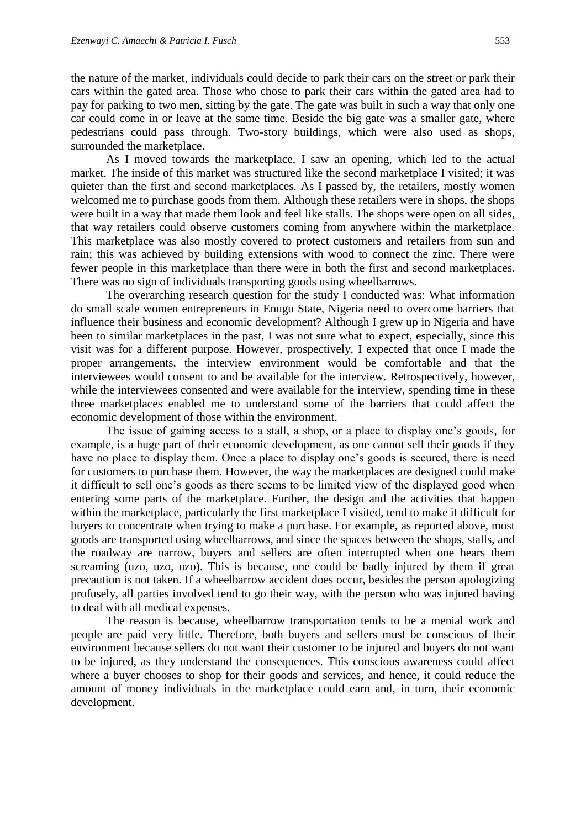the nature of the market, individuals could decide to park their cars on the street or park their cars within the gated area. Those who chose to park their cars within the gated area had to pay for parking to two men, sitting by the gate. The gate was built in such a way that only one car could come in or leave at the same time. Beside the big gate was a smaller gate, where pedestrians could pass through. Two-story buildings, which were also used as shops, surrounded the marketplace.

As I moved towards the marketplace, I saw an opening, which led to the actual market. The inside of this market was structured like the second marketplace I visited; it was quieter than the first and second marketplaces. As I passed by, the retailers, mostly women welcomed me to purchase goods from them. Although these retailers were in shops, the shops were built in a way that made them look and feel like stalls. The shops were open on all sides, that way retailers could observe customers coming from anywhere within the marketplace. This marketplace was also mostly covered to protect customers and retailers from sun and rain; this was achieved by building extensions with wood to connect the zinc. There were fewer people in this marketplace than there were in both the first and second marketplaces. There was no sign of individuals transporting goods using wheelbarrows.

The overarching research question for the study I conducted was: What information do small scale women entrepreneurs in Enugu State, Nigeria need to overcome barriers that influence their business and economic development? Although I grew up in Nigeria and have been to similar marketplaces in the past, I was not sure what to expect, especially, since this visit was for a different purpose. However, prospectively, I expected that once I made the proper arrangements, the interview environment would be comfortable and that the interviewees would consent to and be available for the interview. Retrospectively, however, while the interviewees consented and were available for the interview, spending time in these three marketplaces enabled me to understand some of the barriers that could affect the economic development of those within the environment.

The issue of gaining access to a stall, a shop, or a place to display one's goods, for example, is a huge part of their economic development, as one cannot sell their goods if they have no place to display them. Once a place to display one's goods is secured, there is need for customers to purchase them. However, the way the marketplaces are designed could make it difficult to sell one's goods as there seems to be limited view of the displayed good when entering some parts of the marketplace. Further, the design and the activities that happen within the marketplace, particularly the first marketplace I visited, tend to make it difficult for buyers to concentrate when trying to make a purchase. For example, as reported above, most goods are transported using wheelbarrows, and since the spaces between the shops, stalls, and the roadway are narrow, buyers and sellers are often interrupted when one hears them screaming (uzo, uzo, uzo). This is because, one could be badly injured by them if great precaution is not taken. If a wheelbarrow accident does occur, besides the person apologizing profusely, all parties involved tend to go their way, with the person who was injured having to deal with all medical expenses.

The reason is because, wheelbarrow transportation tends to be a menial work and people are paid very little. Therefore, both buyers and sellers must be conscious of their environment because sellers do not want their customer to be injured and buyers do not want to be injured, as they understand the consequences. This conscious awareness could affect where a buyer chooses to shop for their goods and services, and hence, it could reduce the amount of money individuals in the marketplace could earn and, in turn, their economic development.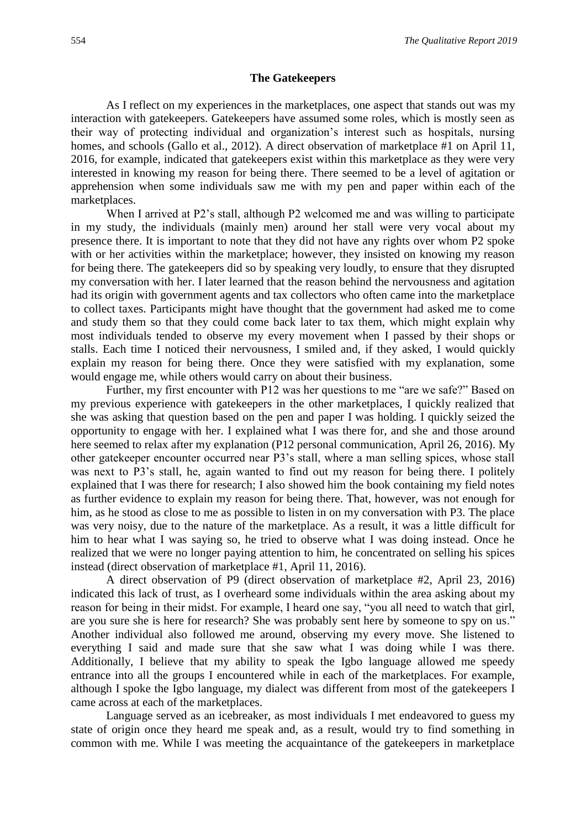#### **The Gatekeepers**

As I reflect on my experiences in the marketplaces, one aspect that stands out was my interaction with gatekeepers. Gatekeepers have assumed some roles, which is mostly seen as their way of protecting individual and organization's interest such as hospitals, nursing homes, and schools (Gallo et al., 2012). A direct observation of marketplace #1 on April 11, 2016, for example, indicated that gatekeepers exist within this marketplace as they were very interested in knowing my reason for being there. There seemed to be a level of agitation or apprehension when some individuals saw me with my pen and paper within each of the marketplaces.

When I arrived at P2's stall, although P2 welcomed me and was willing to participate in my study, the individuals (mainly men) around her stall were very vocal about my presence there. It is important to note that they did not have any rights over whom P2 spoke with or her activities within the marketplace; however, they insisted on knowing my reason for being there. The gatekeepers did so by speaking very loudly, to ensure that they disrupted my conversation with her. I later learned that the reason behind the nervousness and agitation had its origin with government agents and tax collectors who often came into the marketplace to collect taxes. Participants might have thought that the government had asked me to come and study them so that they could come back later to tax them, which might explain why most individuals tended to observe my every movement when I passed by their shops or stalls. Each time I noticed their nervousness, I smiled and, if they asked, I would quickly explain my reason for being there. Once they were satisfied with my explanation, some would engage me, while others would carry on about their business.

Further, my first encounter with P12 was her questions to me "are we safe?" Based on my previous experience with gatekeepers in the other marketplaces, I quickly realized that she was asking that question based on the pen and paper I was holding. I quickly seized the opportunity to engage with her. I explained what I was there for, and she and those around here seemed to relax after my explanation (P12 personal communication, April 26, 2016). My other gatekeeper encounter occurred near P3's stall, where a man selling spices, whose stall was next to P3's stall, he, again wanted to find out my reason for being there. I politely explained that I was there for research; I also showed him the book containing my field notes as further evidence to explain my reason for being there. That, however, was not enough for him, as he stood as close to me as possible to listen in on my conversation with P3. The place was very noisy, due to the nature of the marketplace. As a result, it was a little difficult for him to hear what I was saying so, he tried to observe what I was doing instead. Once he realized that we were no longer paying attention to him, he concentrated on selling his spices instead (direct observation of marketplace #1, April 11, 2016).

A direct observation of P9 (direct observation of marketplace #2, April 23, 2016) indicated this lack of trust, as I overheard some individuals within the area asking about my reason for being in their midst. For example, I heard one say, "you all need to watch that girl, are you sure she is here for research? She was probably sent here by someone to spy on us." Another individual also followed me around, observing my every move. She listened to everything I said and made sure that she saw what I was doing while I was there. Additionally, I believe that my ability to speak the Igbo language allowed me speedy entrance into all the groups I encountered while in each of the marketplaces. For example, although I spoke the Igbo language, my dialect was different from most of the gatekeepers I came across at each of the marketplaces.

Language served as an icebreaker, as most individuals I met endeavored to guess my state of origin once they heard me speak and, as a result, would try to find something in common with me. While I was meeting the acquaintance of the gatekeepers in marketplace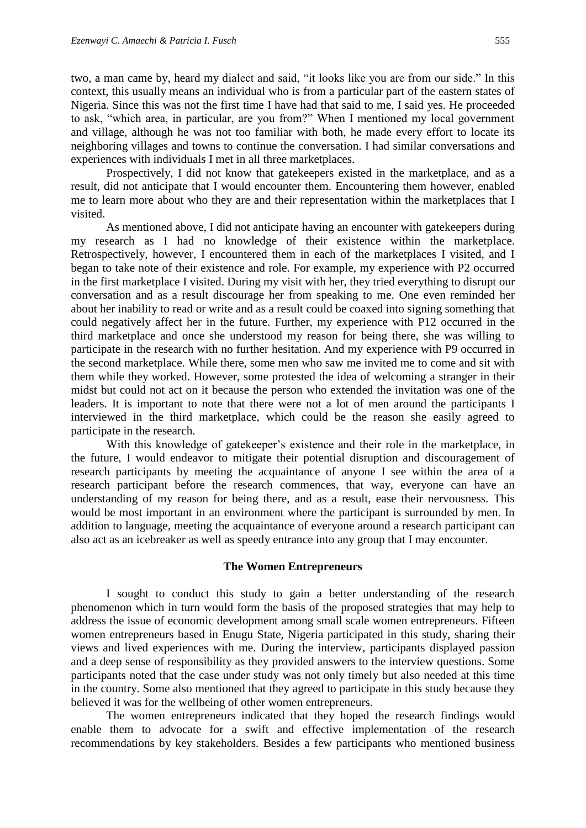two, a man came by, heard my dialect and said, "it looks like you are from our side." In this context, this usually means an individual who is from a particular part of the eastern states of Nigeria. Since this was not the first time I have had that said to me, I said yes. He proceeded to ask, "which area, in particular, are you from?" When I mentioned my local government and village, although he was not too familiar with both, he made every effort to locate its neighboring villages and towns to continue the conversation. I had similar conversations and experiences with individuals I met in all three marketplaces.

Prospectively, I did not know that gatekeepers existed in the marketplace, and as a result, did not anticipate that I would encounter them. Encountering them however, enabled me to learn more about who they are and their representation within the marketplaces that I visited.

As mentioned above, I did not anticipate having an encounter with gatekeepers during my research as I had no knowledge of their existence within the marketplace. Retrospectively, however, I encountered them in each of the marketplaces I visited, and I began to take note of their existence and role. For example, my experience with P2 occurred in the first marketplace I visited. During my visit with her, they tried everything to disrupt our conversation and as a result discourage her from speaking to me. One even reminded her about her inability to read or write and as a result could be coaxed into signing something that could negatively affect her in the future. Further, my experience with P12 occurred in the third marketplace and once she understood my reason for being there, she was willing to participate in the research with no further hesitation. And my experience with P9 occurred in the second marketplace. While there, some men who saw me invited me to come and sit with them while they worked. However, some protested the idea of welcoming a stranger in their midst but could not act on it because the person who extended the invitation was one of the leaders. It is important to note that there were not a lot of men around the participants I interviewed in the third marketplace, which could be the reason she easily agreed to participate in the research.

With this knowledge of gatekeeper's existence and their role in the marketplace, in the future, I would endeavor to mitigate their potential disruption and discouragement of research participants by meeting the acquaintance of anyone I see within the area of a research participant before the research commences, that way, everyone can have an understanding of my reason for being there, and as a result, ease their nervousness. This would be most important in an environment where the participant is surrounded by men. In addition to language, meeting the acquaintance of everyone around a research participant can also act as an icebreaker as well as speedy entrance into any group that I may encounter.

#### **The Women Entrepreneurs**

I sought to conduct this study to gain a better understanding of the research phenomenon which in turn would form the basis of the proposed strategies that may help to address the issue of economic development among small scale women entrepreneurs. Fifteen women entrepreneurs based in Enugu State, Nigeria participated in this study, sharing their views and lived experiences with me. During the interview, participants displayed passion and a deep sense of responsibility as they provided answers to the interview questions. Some participants noted that the case under study was not only timely but also needed at this time in the country. Some also mentioned that they agreed to participate in this study because they believed it was for the wellbeing of other women entrepreneurs.

The women entrepreneurs indicated that they hoped the research findings would enable them to advocate for a swift and effective implementation of the research recommendations by key stakeholders. Besides a few participants who mentioned business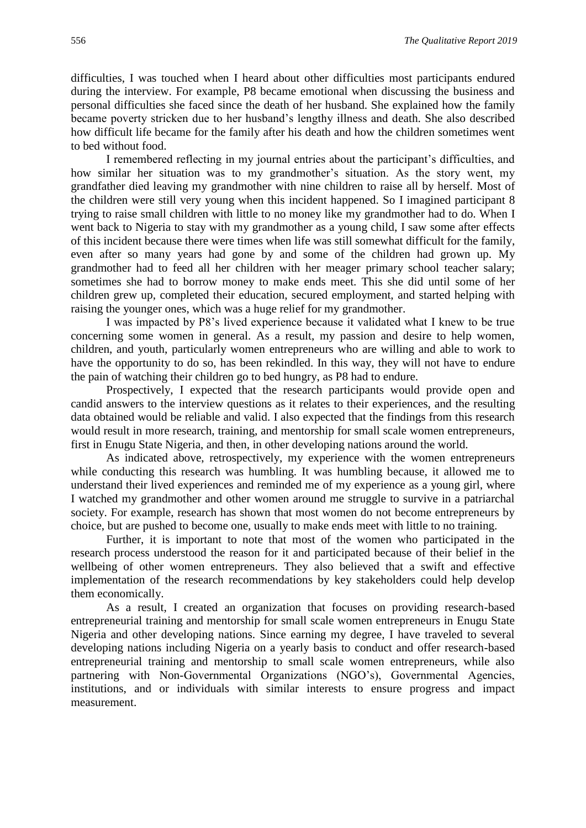difficulties, I was touched when I heard about other difficulties most participants endured during the interview. For example, P8 became emotional when discussing the business and personal difficulties she faced since the death of her husband. She explained how the family became poverty stricken due to her husband's lengthy illness and death. She also described how difficult life became for the family after his death and how the children sometimes went to bed without food.

I remembered reflecting in my journal entries about the participant's difficulties, and how similar her situation was to my grandmother's situation. As the story went, my grandfather died leaving my grandmother with nine children to raise all by herself. Most of the children were still very young when this incident happened. So I imagined participant 8 trying to raise small children with little to no money like my grandmother had to do. When I went back to Nigeria to stay with my grandmother as a young child, I saw some after effects of this incident because there were times when life was still somewhat difficult for the family, even after so many years had gone by and some of the children had grown up. My grandmother had to feed all her children with her meager primary school teacher salary; sometimes she had to borrow money to make ends meet. This she did until some of her children grew up, completed their education, secured employment, and started helping with raising the younger ones, which was a huge relief for my grandmother.

I was impacted by P8's lived experience because it validated what I knew to be true concerning some women in general. As a result, my passion and desire to help women, children, and youth, particularly women entrepreneurs who are willing and able to work to have the opportunity to do so, has been rekindled. In this way, they will not have to endure the pain of watching their children go to bed hungry, as P8 had to endure.

Prospectively, I expected that the research participants would provide open and candid answers to the interview questions as it relates to their experiences, and the resulting data obtained would be reliable and valid. I also expected that the findings from this research would result in more research, training, and mentorship for small scale women entrepreneurs, first in Enugu State Nigeria, and then, in other developing nations around the world.

As indicated above, retrospectively, my experience with the women entrepreneurs while conducting this research was humbling. It was humbling because, it allowed me to understand their lived experiences and reminded me of my experience as a young girl, where I watched my grandmother and other women around me struggle to survive in a patriarchal society. For example, research has shown that most women do not become entrepreneurs by choice, but are pushed to become one, usually to make ends meet with little to no training.

Further, it is important to note that most of the women who participated in the research process understood the reason for it and participated because of their belief in the wellbeing of other women entrepreneurs. They also believed that a swift and effective implementation of the research recommendations by key stakeholders could help develop them economically.

As a result, I created an organization that focuses on providing research-based entrepreneurial training and mentorship for small scale women entrepreneurs in Enugu State Nigeria and other developing nations. Since earning my degree, I have traveled to several developing nations including Nigeria on a yearly basis to conduct and offer research-based entrepreneurial training and mentorship to small scale women entrepreneurs, while also partnering with Non-Governmental Organizations (NGO's), Governmental Agencies, institutions, and or individuals with similar interests to ensure progress and impact measurement.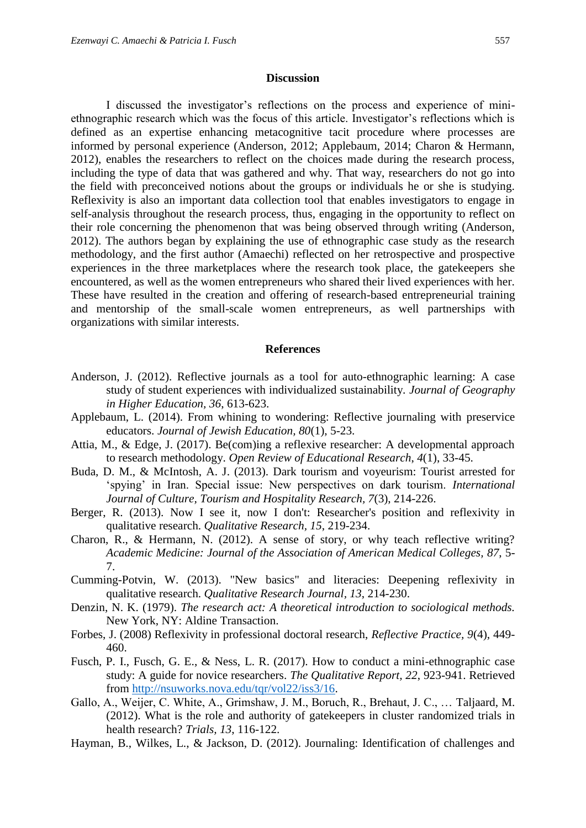#### **Discussion**

I discussed the investigator's reflections on the process and experience of miniethnographic research which was the focus of this article. Investigator's reflections which is defined as an expertise enhancing metacognitive tacit procedure where processes are informed by personal experience (Anderson, 2012; Applebaum, 2014; Charon & Hermann, 2012), enables the researchers to reflect on the choices made during the research process, including the type of data that was gathered and why. That way, researchers do not go into the field with preconceived notions about the groups or individuals he or she is studying. Reflexivity is also an important data collection tool that enables investigators to engage in self-analysis throughout the research process, thus, engaging in the opportunity to reflect on their role concerning the phenomenon that was being observed through writing (Anderson, 2012). The authors began by explaining the use of ethnographic case study as the research methodology, and the first author (Amaechi) reflected on her retrospective and prospective experiences in the three marketplaces where the research took place, the gatekeepers she encountered, as well as the women entrepreneurs who shared their lived experiences with her. These have resulted in the creation and offering of research-based entrepreneurial training and mentorship of the small-scale women entrepreneurs, as well partnerships with organizations with similar interests.

#### **References**

- Anderson, J. (2012). Reflective journals as a tool for auto-ethnographic learning: A case study of student experiences with individualized sustainability. *Journal of Geography in Higher Education, 36*, 613-623.
- Applebaum, L. (2014). From whining to wondering: Reflective journaling with preservice educators. *Journal of Jewish Education, 80*(1), 5-23.
- Attia, M., & Edge, J. (2017). Be(com)ing a reflexive researcher: A developmental approach to research methodology. *Open Review of Educational Research*, *4*(1), 33-45.
- Buda, D. M., & McIntosh, A. J. (2013). Dark tourism and voyeurism: Tourist arrested for 'spying' in Iran. Special issue: New perspectives on dark tourism. *International Journal of Culture, Tourism and Hospitality Research, 7*(3), 214-226.
- Berger, R. (2013). Now I see it, now I don't: Researcher's position and reflexivity in qualitative research. *Qualitative Research, 15*, 219-234.
- Charon, R., & Hermann, N. (2012). A sense of story, or why teach reflective writing? *Academic Medicine: Journal of the Association of American Medical Colleges, 87*, 5- 7.
- Cumming-Potvin, W. (2013). "New basics" and literacies: Deepening reflexivity in qualitative research. *Qualitative Research Journal, 13*, 214-230.
- Denzin, N. K. (1979). *The research act: A theoretical introduction to sociological methods.*  New York, NY: Aldine Transaction.
- Forbes, J. (2008) Reflexivity in professional doctoral research, *Reflective Practice, 9*(4), 449- 460.
- Fusch, P. I., Fusch, G. E., & Ness, L. R. (2017). How to conduct a mini-ethnographic case study: A guide for novice researchers. *The Qualitative Report, 22*, 923-941. Retrieved from [http://nsuworks.nova.edu/tqr/vol22/iss3/16.](http://nsuworks.nova.edu/tqr/vol22/iss3/16)
- Gallo, A., Weijer, C. White, A., Grimshaw, J. M., Boruch, R., Brehaut, J. C., … Taljaard, M. (2012). What is the role and authority of gatekeepers in cluster randomized trials in health research? *Trials, 13*, 116-122.
- Hayman, B., Wilkes, L., & Jackson, D. (2012). Journaling: Identification of challenges and